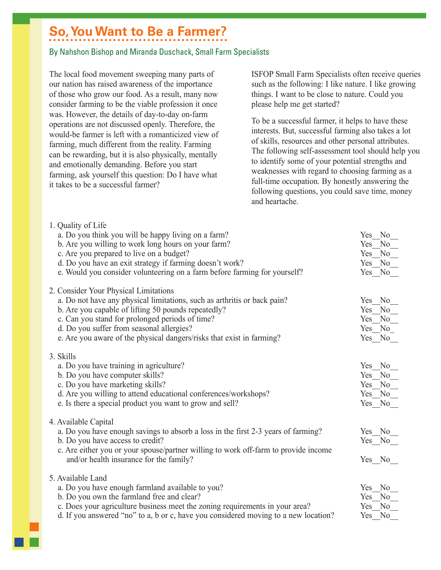## **So, You Want to Be a Farmer?**

## By Nahshon Bishop and Miranda Duschack, Small Farm Specialists

The local food movement sweeping many parts of our nation has raised awareness of the importance of those who grow our food. As a result, many now consider farming to be the viable profession it once was. However, the details of day-to-day on-farm operations are not discussed openly. Therefore, the would-be farmer is left with a romanticized view of farming, much different from the reality. Farming can be rewarding, but it is also physically, mentally and emotionally demanding. Before you start farming, ask yourself this question: Do I have what it takes to be a successful farmer?

 $1.0...$   $1.1...$   $0.1$   $1.0...$ 

ISFOP Small Farm Specialists often receive queries such as the following: I like nature. I like growing things. I want to be close to nature. Could you please help me get started?

To be a successful farmer, it helps to have these interests. But, successful farming also takes a lot of skills, resources and other personal attributes. The following self-assessment tool should help you to identify some of your potential strengths and weaknesses with regard to choosing farming as a full-time occupation. By honestly answering the following questions, you could save time, money and heartache.

| 1. Quality of Life                                                                  |                       |
|-------------------------------------------------------------------------------------|-----------------------|
| a. Do you think you will be happy living on a farm?                                 | N <sub>0</sub><br>Yes |
| b. Are you willing to work long hours on your farm?                                 | N <sub>0</sub><br>Yes |
| c. Are you prepared to live on a budget?                                            | N <sub>o</sub><br>Yes |
| d. Do you have an exit strategy if farming doesn't work?                            | N <sub>o</sub><br>Yes |
| e. Would you consider volunteering on a farm before farming for yourself?           | Yes<br>No             |
|                                                                                     |                       |
| 2. Consider Your Physical Limitations                                               |                       |
| a. Do not have any physical limitations, such as arthritis or back pain?            | Yes<br>N <sub>o</sub> |
| b. Are you capable of lifting 50 pounds repeatedly?                                 | N <sub>0</sub><br>Yes |
| c. Can you stand for prolonged periods of time?                                     | N <sub>0</sub><br>Yes |
| d. Do you suffer from seasonal allergies?                                           | No<br>Yes             |
| e. Are you aware of the physical dangers/risks that exist in farming?               | Yes No                |
|                                                                                     |                       |
| 3. Skills                                                                           |                       |
| a. Do you have training in agriculture?                                             | Yes No                |
| b. Do you have computer skills?                                                     | Yes<br>N <sub>0</sub> |
| c. Do you have marketing skills?                                                    | N <sub>0</sub><br>Yes |
| d. Are you willing to attend educational conferences/workshops?                     | N <sub>0</sub><br>Yes |
| e. Is there a special product you want to grow and sell?                            | Yes No                |
|                                                                                     |                       |
| 4. Available Capital                                                                |                       |
| a. Do you have enough savings to absorb a loss in the first 2-3 years of farming?   | Yes No                |
| b. Do you have access to credit?                                                    | Yes No                |
|                                                                                     |                       |
| c. Are either you or your spouse/partner willing to work off-farm to provide income |                       |
| and/or health insurance for the family?                                             | Yes No                |
| 5. Available Land                                                                   |                       |
|                                                                                     | N <sub>0</sub>        |
| a. Do you have enough farmland available to you?                                    | Yes                   |
| b. Do you own the farmland free and clear?                                          | N <sub>0</sub><br>Yes |
| c. Does your agriculture business meet the zoning requirements in your area?        | N <sub>o</sub><br>Yes |
| d. If you answered "no" to a, b or c, have you considered moving to a new location? | Yes<br>No             |
|                                                                                     |                       |